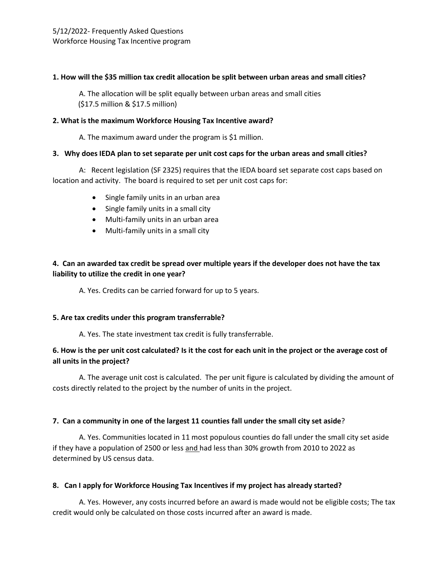### **1. How will the \$35 million tax credit allocation be split between urban areas and small cities?**

A. The allocation will be split equally between urban areas and small cities (\$17.5 million & \$17.5 million)

#### **2. What is the maximum Workforce Housing Tax Incentive award?**

A. The maximum award under the program is \$1 million.

#### **3. Why does IEDA plan to set separate per unit cost caps for the urban areas and small cities?**

A: Recent legislation (SF 2325) requires that the IEDA board set separate cost caps based on location and activity. The board is required to set per unit cost caps for:

- Single family units in an urban area
- Single family units in a small city
- Multi-family units in an urban area
- Multi-family units in a small city

# **4. Can an awarded tax credit be spread over multiple years if the developer does not have the tax liability to utilize the credit in one year?**

A. Yes. Credits can be carried forward for up to 5 years.

### **5. Are tax credits under this program transferrable?**

A. Yes. The state investment tax credit is fully transferrable.

## **6. How is the per unit cost calculated? Is it the cost for each unit in the project or the average cost of all units in the project?**

A. The average unit cost is calculated. The per unit figure is calculated by dividing the amount of costs directly related to the project by the number of units in the project.

### **7. Can a community in one of the largest 11 counties fall under the small city set aside**?

A. Yes. Communities located in 11 most populous counties do fall under the small city set aside if they have a population of 2500 or less and had less than 30% growth from 2010 to 2022 as determined by US census data.

### **8. Can I apply for Workforce Housing Tax Incentives if my project has already started?**

A. Yes. However, any costs incurred before an award is made would not be eligible costs; The tax credit would only be calculated on those costs incurred after an award is made.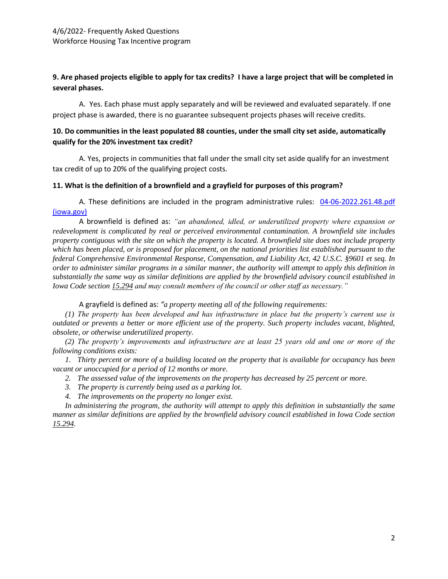## **9. Are phased projects eligible to apply for tax credits? I have a large project that will be completed in several phases.**

A. Yes. Each phase must apply separately and will be reviewed and evaluated separately. If one project phase is awarded, there is no guarantee subsequent projects phases will receive credits.

## **10. Do communities in the least populated 88 counties, under the small city set aside, automatically qualify for the 20% investment tax credit?**

A. Yes, projects in communities that fall under the small city set aside qualify for an investment tax credit of up to 20% of the qualifying project costs.

#### **11. What is the definition of a brownfield and a grayfield for purposes of this program?**

A. These definitions are included in the program administrative rules: [04-06-2022.261.48.pdf](https://www.legis.iowa.gov/docs/iac/chapter/04-06-2022.261.48.pdf)  [\(iowa.gov\)](https://www.legis.iowa.gov/docs/iac/chapter/04-06-2022.261.48.pdf)

A brownfield is defined as: *"an abandoned, idled, or underutilized property where expansion or redevelopment is complicated by real or perceived environmental contamination. A brownfield site includes property contiguous with the site on which the property is located. A brownfield site does not include property which has been placed, or is proposed for placement, on the national priorities list established pursuant to the federal Comprehensive Environmental Response, Compensation, and Liability Act, 42 U.S.C. §9601 et seq. In order to administer similar programs in a similar manner, the authority will attempt to apply this definition in substantially the same way as similar definitions are applied by the brownfield advisory council established in Iowa Code section [15.294](https://www.legis.iowa.gov/docs/ico/section/15.294.pdf) and may consult members of the council or other staff as necessary."*

A grayfield is defined as: *"a property meeting all of the following requirements:*

*(1) The property has been developed and has infrastructure in place but the property's current use is outdated or prevents a better or more efficient use of the property. Such property includes vacant, blighted, obsolete, or otherwise underutilized property.*

*(2) The property's improvements and infrastructure are at least 25 years old and one or more of the following conditions exists:*

*1. Thirty percent or more of a building located on the property that is available for occupancy has been vacant or unoccupied for a period of 12 months or more.*

- *2. The assessed value of the improvements on the property has decreased by 25 percent or more.*
- *3. The property is currently being used as a parking lot.*
- *4. The improvements on the property no longer exist.*

*In administering the program, the authority will attempt to apply this definition in substantially the same manner as similar definitions are applied by the brownfield advisory council established in Iowa Code section [15.294.](https://www.legis.iowa.gov/docs/ico/section/15.294.pdf)*